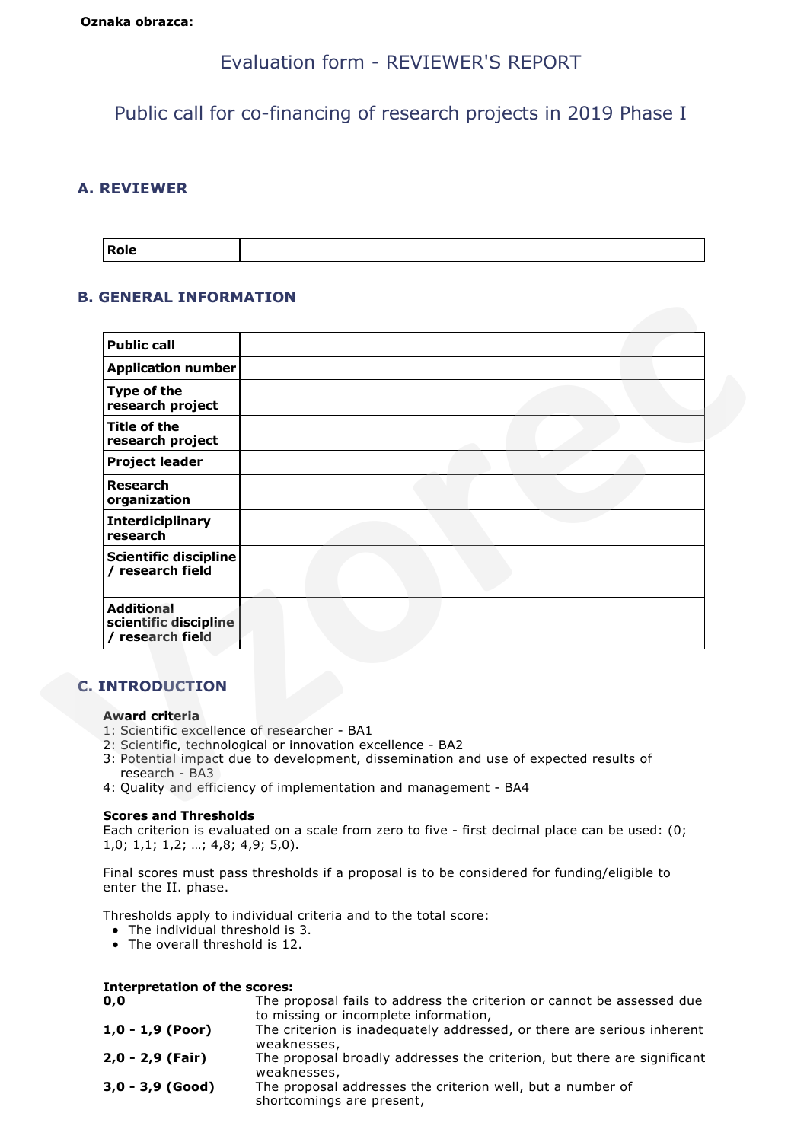# Evaluation form - REVIEWER'S REPORT

Public call for co-financing of research projects in 2019 Phase I

# **A. REVIEWER**

| <b>Role</b> |  |
|-------------|--|
|             |  |

# **B. GENERAL INFORMATION**

| <b>Public call</b>                                                                      |                                                                                                                                                                                                                         |
|-----------------------------------------------------------------------------------------|-------------------------------------------------------------------------------------------------------------------------------------------------------------------------------------------------------------------------|
| <b>Application number</b>                                                               |                                                                                                                                                                                                                         |
| Type of the<br>research project                                                         |                                                                                                                                                                                                                         |
| <b>Title of the</b><br>research project                                                 |                                                                                                                                                                                                                         |
| <b>Project leader</b>                                                                   |                                                                                                                                                                                                                         |
| <b>Research</b><br>organization                                                         |                                                                                                                                                                                                                         |
| <b>Interdiciplinary</b><br>research                                                     |                                                                                                                                                                                                                         |
| <b>Scientific discipline</b><br>/ research field                                        |                                                                                                                                                                                                                         |
| <b>Additional</b><br>scientific discipline<br>/ research field                          |                                                                                                                                                                                                                         |
| <b>C. INTRODUCTION</b>                                                                  |                                                                                                                                                                                                                         |
| <b>Award criteria</b><br>1: Scientific excellence of researcher - BA1<br>research - BA3 | 2: Scientific, technological or innovation excellence - BA2<br>3: Potential impact due to development, dissemination and use of expected results of<br>4: Quality and efficiency of implementation and management - BA4 |

# **C. INTRODUCTION**

### **Award criteria**

- 1: Scientific excellence of researcher BA1
- 2: Scientific, technological or innovation excellence BA2
- 3: Potential impact due to development, dissemination and use of expected results of research - BA3
- 4: Quality and efficiency of implementation and management BA4

### **Scores and Thresholds**

Each criterion is evaluated on a scale from zero to five - first decimal place can be used: (0; 1,0; 1,1; 1,2; …; 4,8; 4,9; 5,0).

Final scores must pass thresholds if a proposal is to be considered for funding/eligible to enter the II. phase.

Thresholds apply to individual criteria and to the total score:

- The individual threshold is 3.
- The overall threshold is 12.

| <b>Interpretation of the scores:</b> |                                                                                                                |
|--------------------------------------|----------------------------------------------------------------------------------------------------------------|
| 0,0                                  | The proposal fails to address the criterion or cannot be assessed due<br>to missing or incomplete information, |
| $1,0 - 1,9$ (Poor)                   | The criterion is inadequately addressed, or there are serious inherent<br>weaknesses,                          |
| $2,0 - 2,9$ (Fair)                   | The proposal broadly addresses the criterion, but there are significant<br>weaknesses,                         |
| $3,0 - 3,9$ (Good)                   | The proposal addresses the criterion well, but a number of<br>shortcomings are present,                        |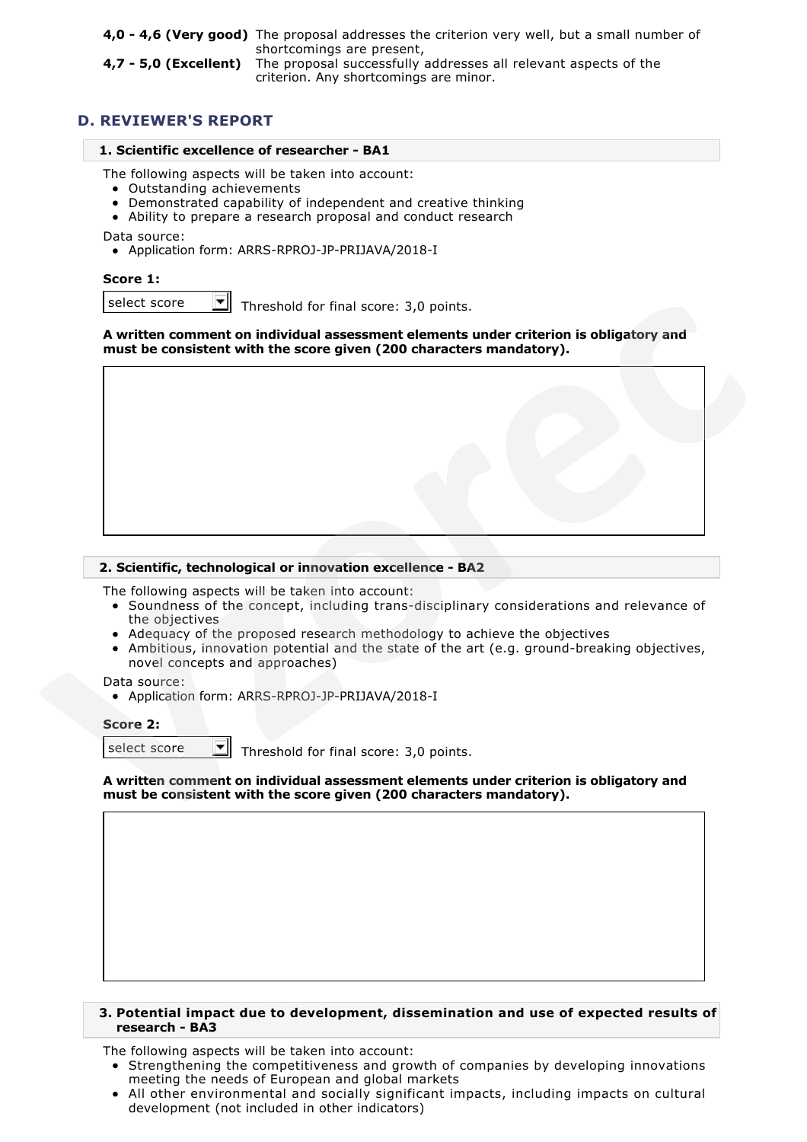**4,0 - 4,6 (Very good)** The proposal addresses the criterion very well, but a small number of shortcomings are present,

**4,7 - 5,0 (Excellent)** The proposal successfully addresses all relevant aspects of the criterion. Any shortcomings are minor.

# **D. REVIEWER'S REPORT**

### **1. Scientific excellence of researcher - BA1**

The following aspects will be taken into account:

- Outstanding achievements
- Demonstrated capability of independent and creative thinking
- Ability to prepare a research proposal and conduct research

Data source:

Application form: ARRS-RPROJ-JP-PRIJAVA/2018-I

# **Score 1:**

select score  $\Box$  Threshold for final score: 3,0 points.

### **A written comment on individual assessment elements under criterion is obligatory and must be consistent with the score given (200 characters mandatory).**



### **2. Scientific, technological or innovation excellence - BA2**

The following aspects will be taken into account:

- Soundness of the concept, including trans-disciplinary considerations and relevance of the objectives
- Adequacy of the proposed research methodology to achieve the objectives
- Ambitious, innovation potential and the state of the art (e.g. ground-breaking objectives, novel concepts and approaches)

Data source:

Application form: ARRS-RPROJ-JP-PRIJAVA/2018-I

#### **Score 2:**

select score  $\Box$  Threshold for final score: 3,0 points.

**A written comment on individual assessment elements under criterion is obligatory and must be consistent with the score given (200 characters mandatory).**

### **3. Potential impact due to development, dissemination and use of expected results of research - BA3**

The following aspects will be taken into account:

- Strengthening the competitiveness and growth of companies by developing innovations meeting the needs of European and global markets
- All other environmental and socially significant impacts, including impacts on cultural development (not included in other indicators)